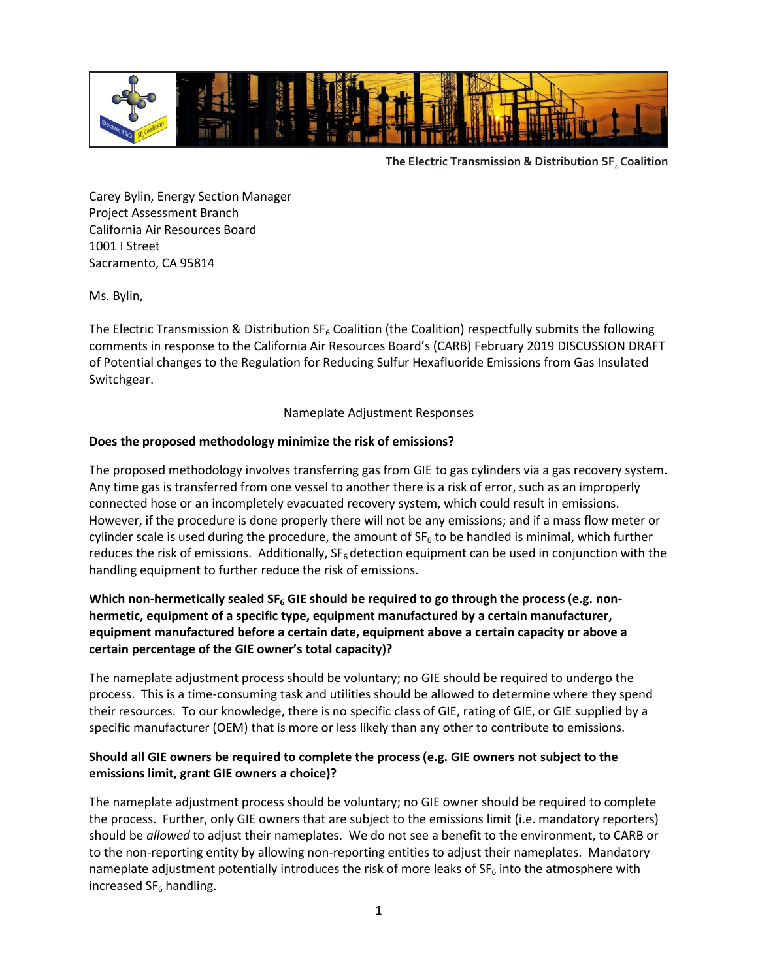

**The Electric Transmission & Distribution SF6 Coalition**

Carey Bylin, Energy Section Manager Project Assessment Branch California Air Resources Board 1001 I Street Sacramento, CA 95814

Ms. Bylin,

The Electric Transmission & Distribution  $SF_6$  Coalition (the Coalition) respectfully submits the following comments in response to the California Air Resources Board's (CARB) February 2019 DISCUSSION DRAFT of Potential changes to the Regulation for Reducing Sulfur Hexafluoride Emissions from Gas Insulated Switchgear.

## Nameplate Adjustment Responses

## **Does the proposed methodology minimize the risk of emissions?**

The proposed methodology involves transferring gas from GIE to gas cylinders via a gas recovery system. Any time gas is transferred from one vessel to another there is a risk of error, such as an improperly connected hose or an incompletely evacuated recovery system, which could result in emissions. However, if the procedure is done properly there will not be any emissions; and if a mass flow meter or cylinder scale is used during the procedure, the amount of  $SF<sub>6</sub>$  to be handled is minimal, which further reduces the risk of emissions. Additionally,  $SF_6$  detection equipment can be used in conjunction with the handling equipment to further reduce the risk of emissions.

# **Which non-hermetically sealed SF<sup>6</sup> GIE should be required to go through the process (e.g. nonhermetic, equipment of a specific type, equipment manufactured by a certain manufacturer, equipment manufactured before a certain date, equipment above a certain capacity or above a certain percentage of the GIE owner's total capacity)?**

The nameplate adjustment process should be voluntary; no GIE should be required to undergo the process. This is a time-consuming task and utilities should be allowed to determine where they spend their resources. To our knowledge, there is no specific class of GIE, rating of GIE, or GIE supplied by a specific manufacturer (OEM) that is more or less likely than any other to contribute to emissions.

## **Should all GIE owners be required to complete the process (e.g. GIE owners not subject to the emissions limit, grant GIE owners a choice)?**

The nameplate adjustment process should be voluntary; no GIE owner should be required to complete the process. Further, only GIE owners that are subject to the emissions limit (i.e. mandatory reporters) should be *allowed* to adjust their nameplates. We do not see a benefit to the environment, to CARB or to the non-reporting entity by allowing non-reporting entities to adjust their nameplates. Mandatory nameplate adjustment potentially introduces the risk of more leaks of  $SF_6$  into the atmosphere with increased  $SF_6$  handling.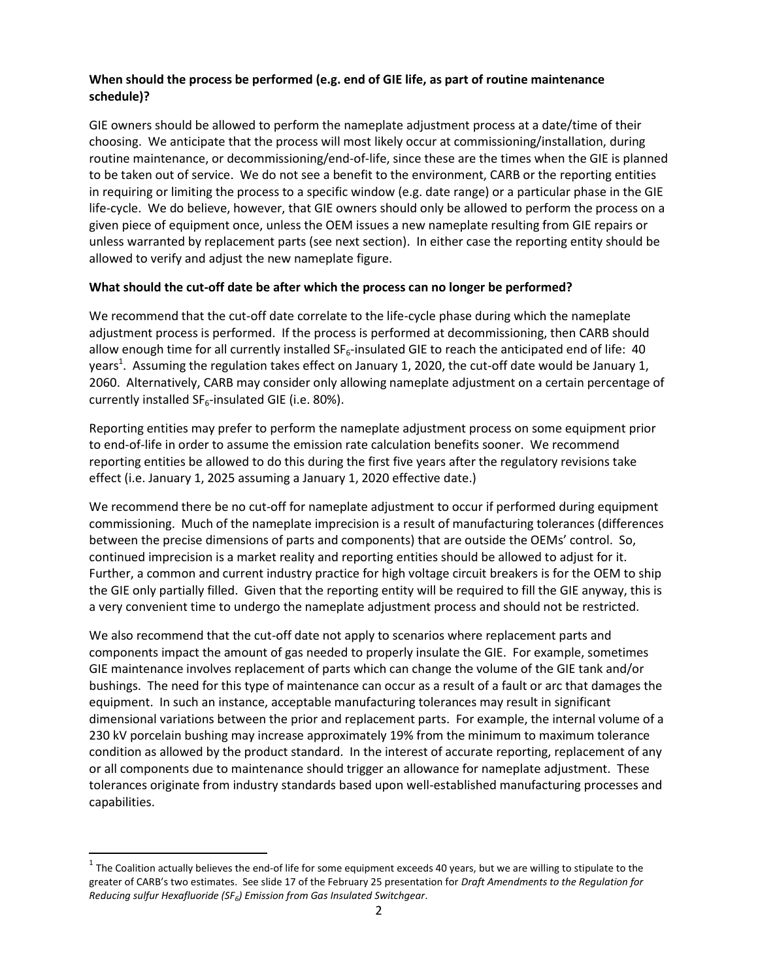## **When should the process be performed (e.g. end of GIE life, as part of routine maintenance schedule)?**

GIE owners should be allowed to perform the nameplate adjustment process at a date/time of their choosing. We anticipate that the process will most likely occur at commissioning/installation, during routine maintenance, or decommissioning/end-of-life, since these are the times when the GIE is planned to be taken out of service. We do not see a benefit to the environment, CARB or the reporting entities in requiring or limiting the process to a specific window (e.g. date range) or a particular phase in the GIE life-cycle. We do believe, however, that GIE owners should only be allowed to perform the process on a given piece of equipment once, unless the OEM issues a new nameplate resulting from GIE repairs or unless warranted by replacement parts (see next section). In either case the reporting entity should be allowed to verify and adjust the new nameplate figure.

## **What should the cut-off date be after which the process can no longer be performed?**

We recommend that the cut-off date correlate to the life-cycle phase during which the nameplate adjustment process is performed. If the process is performed at decommissioning, then CARB should allow enough time for all currently installed  $SF_6$ -insulated GIE to reach the anticipated end of life: 40 years<sup>1</sup>. Assuming the regulation takes effect on January 1, 2020, the cut-off date would be January 1, 2060. Alternatively, CARB may consider only allowing nameplate adjustment on a certain percentage of currently installed  $SF_6$ -insulated GIE (i.e. 80%).

Reporting entities may prefer to perform the nameplate adjustment process on some equipment prior to end-of-life in order to assume the emission rate calculation benefits sooner. We recommend reporting entities be allowed to do this during the first five years after the regulatory revisions take effect (i.e. January 1, 2025 assuming a January 1, 2020 effective date.)

We recommend there be no cut-off for nameplate adjustment to occur if performed during equipment commissioning. Much of the nameplate imprecision is a result of manufacturing tolerances (differences between the precise dimensions of parts and components) that are outside the OEMs' control. So, continued imprecision is a market reality and reporting entities should be allowed to adjust for it. Further, a common and current industry practice for high voltage circuit breakers is for the OEM to ship the GIE only partially filled. Given that the reporting entity will be required to fill the GIE anyway, this is a very convenient time to undergo the nameplate adjustment process and should not be restricted.

We also recommend that the cut-off date not apply to scenarios where replacement parts and components impact the amount of gas needed to properly insulate the GIE. For example, sometimes GIE maintenance involves replacement of parts which can change the volume of the GIE tank and/or bushings. The need for this type of maintenance can occur as a result of a fault or arc that damages the equipment. In such an instance, acceptable manufacturing tolerances may result in significant dimensional variations between the prior and replacement parts. For example, the internal volume of a 230 kV porcelain bushing may increase approximately 19% from the minimum to maximum tolerance condition as allowed by the product standard. In the interest of accurate reporting, replacement of any or all components due to maintenance should trigger an allowance for nameplate adjustment. These tolerances originate from industry standards based upon well-established manufacturing processes and capabilities.

l

 $^1$  The Coalition actually believes the end-of life for some equipment exceeds 40 years, but we are willing to stipulate to the greater of CARB's two estimates. See slide 17 of the February 25 presentation for *Draft Amendments to the Regulation for Reducing sulfur Hexafluoride (SF<sup>6</sup> ) Emission from Gas Insulated Switchgear*.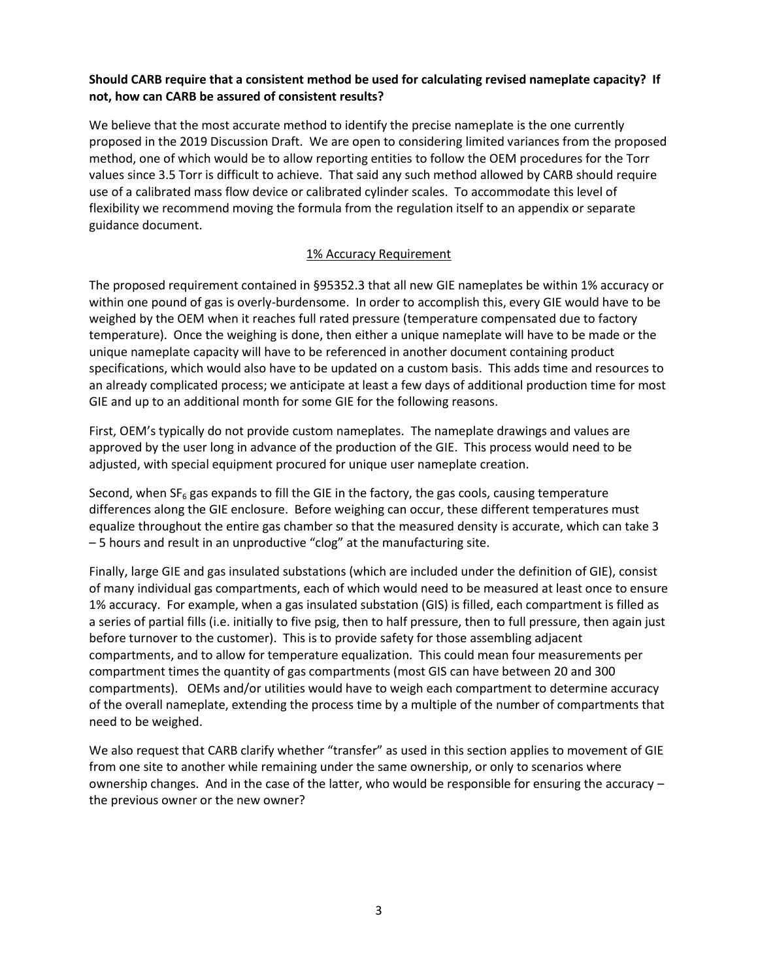## **Should CARB require that a consistent method be used for calculating revised nameplate capacity? If not, how can CARB be assured of consistent results?**

We believe that the most accurate method to identify the precise nameplate is the one currently proposed in the 2019 Discussion Draft. We are open to considering limited variances from the proposed method, one of which would be to allow reporting entities to follow the OEM procedures for the Torr values since 3.5 Torr is difficult to achieve. That said any such method allowed by CARB should require use of a calibrated mass flow device or calibrated cylinder scales. To accommodate this level of flexibility we recommend moving the formula from the regulation itself to an appendix or separate guidance document.

# 1% Accuracy Requirement

The proposed requirement contained in §95352.3 that all new GIE nameplates be within 1% accuracy or within one pound of gas is overly-burdensome. In order to accomplish this, every GIE would have to be weighed by the OEM when it reaches full rated pressure (temperature compensated due to factory temperature). Once the weighing is done, then either a unique nameplate will have to be made or the unique nameplate capacity will have to be referenced in another document containing product specifications, which would also have to be updated on a custom basis. This adds time and resources to an already complicated process; we anticipate at least a few days of additional production time for most GIE and up to an additional month for some GIE for the following reasons.

First, OEM's typically do not provide custom nameplates. The nameplate drawings and values are approved by the user long in advance of the production of the GIE. This process would need to be adjusted, with special equipment procured for unique user nameplate creation.

Second, when  $SF<sub>6</sub>$  gas expands to fill the GIE in the factory, the gas cools, causing temperature differences along the GIE enclosure. Before weighing can occur, these different temperatures must equalize throughout the entire gas chamber so that the measured density is accurate, which can take 3 – 5 hours and result in an unproductive "clog" at the manufacturing site.

Finally, large GIE and gas insulated substations (which are included under the definition of GIE), consist of many individual gas compartments, each of which would need to be measured at least once to ensure 1% accuracy. For example, when a gas insulated substation (GIS) is filled, each compartment is filled as a series of partial fills (i.e. initially to five psig, then to half pressure, then to full pressure, then again just before turnover to the customer). This is to provide safety for those assembling adjacent compartments, and to allow for temperature equalization. This could mean four measurements per compartment times the quantity of gas compartments (most GIS can have between 20 and 300 compartments). OEMs and/or utilities would have to weigh each compartment to determine accuracy of the overall nameplate, extending the process time by a multiple of the number of compartments that need to be weighed.

We also request that CARB clarify whether "transfer" as used in this section applies to movement of GIE from one site to another while remaining under the same ownership, or only to scenarios where ownership changes. And in the case of the latter, who would be responsible for ensuring the accuracy – the previous owner or the new owner?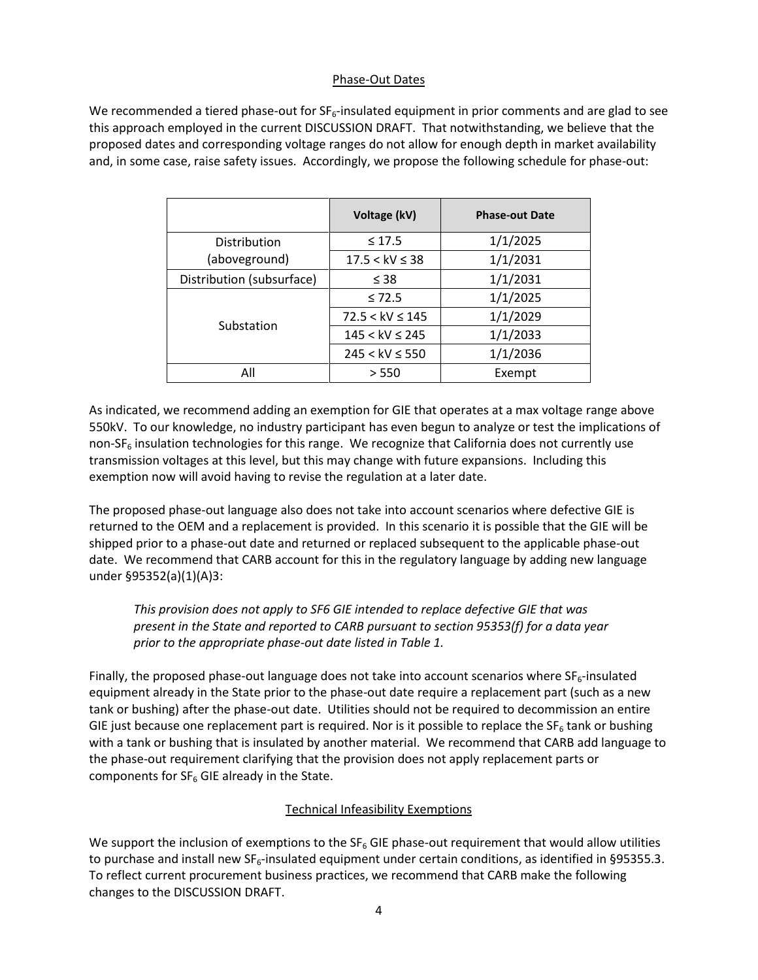### Phase-Out Dates

We recommended a tiered phase-out for  $SF_{6}$ -insulated equipment in prior comments and are glad to see this approach employed in the current DISCUSSION DRAFT. That notwithstanding, we believe that the proposed dates and corresponding voltage ranges do not allow for enough depth in market availability and, in some case, raise safety issues. Accordingly, we propose the following schedule for phase-out:

|                           | Voltage (kV)        | <b>Phase-out Date</b> |
|---------------------------|---------------------|-----------------------|
| Distribution              | $\leq 17.5$         | 1/1/2025              |
| (aboveground)             | $17.5 < kV \leq 38$ | 1/1/2031              |
| Distribution (subsurface) | $\leq$ 38           | 1/1/2031              |
| Substation                | $\leq 72.5$         | 1/1/2025              |
|                           | $72.5 < kV \le 145$ | 1/1/2029              |
|                           | $145 < kV \le 245$  | 1/1/2033              |
|                           | $245 < kV \le 550$  | 1/1/2036              |
| All                       | > 550               | Exempt                |

As indicated, we recommend adding an exemption for GIE that operates at a max voltage range above 550kV. To our knowledge, no industry participant has even begun to analyze or test the implications of non-SF $<sub>6</sub>$  insulation technologies for this range. We recognize that California does not currently use</sub> transmission voltages at this level, but this may change with future expansions. Including this exemption now will avoid having to revise the regulation at a later date.

The proposed phase-out language also does not take into account scenarios where defective GIE is returned to the OEM and a replacement is provided. In this scenario it is possible that the GIE will be shipped prior to a phase-out date and returned or replaced subsequent to the applicable phase-out date. We recommend that CARB account for this in the regulatory language by adding new language under §95352(a)(1)(A)3:

*This provision does not apply to SF6 GIE intended to replace defective GIE that was present in the State and reported to CARB pursuant to section 95353(f) for a data year prior to the appropriate phase-out date listed in Table 1.*

Finally, the proposed phase-out language does not take into account scenarios where  $SF<sub>6</sub>$ -insulated equipment already in the State prior to the phase-out date require a replacement part (such as a new tank or bushing) after the phase-out date. Utilities should not be required to decommission an entire GIE just because one replacement part is required. Nor is it possible to replace the  $SF_6$  tank or bushing with a tank or bushing that is insulated by another material. We recommend that CARB add language to the phase-out requirement clarifying that the provision does not apply replacement parts or components for  $SF_6$  GIE already in the State.

# Technical Infeasibility Exemptions

We support the inclusion of exemptions to the  $SF_6$  GIE phase-out requirement that would allow utilities to purchase and install new  $SF_6$ -insulated equipment under certain conditions, as identified in §95355.3. To reflect current procurement business practices, we recommend that CARB make the following changes to the DISCUSSION DRAFT.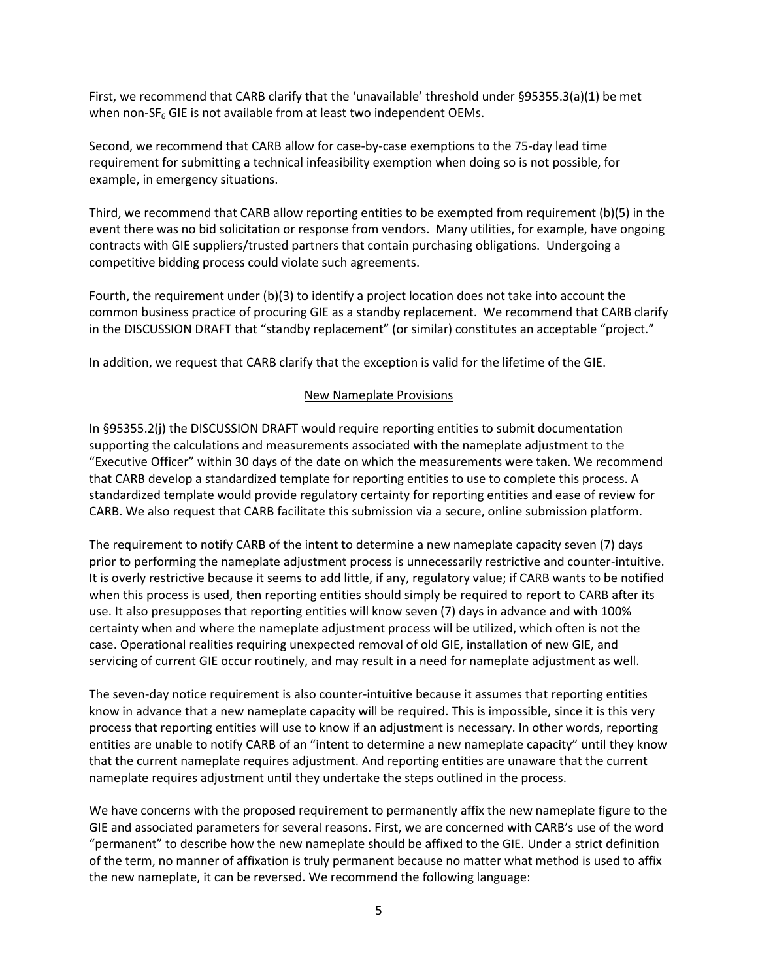First, we recommend that CARB clarify that the 'unavailable' threshold under §95355.3(a)(1) be met when non- $SF<sub>6</sub>$  GIE is not available from at least two independent OEMs.

Second, we recommend that CARB allow for case-by-case exemptions to the 75-day lead time requirement for submitting a technical infeasibility exemption when doing so is not possible, for example, in emergency situations.

Third, we recommend that CARB allow reporting entities to be exempted from requirement (b)(5) in the event there was no bid solicitation or response from vendors. Many utilities, for example, have ongoing contracts with GIE suppliers/trusted partners that contain purchasing obligations. Undergoing a competitive bidding process could violate such agreements.

Fourth, the requirement under (b)(3) to identify a project location does not take into account the common business practice of procuring GIE as a standby replacement. We recommend that CARB clarify in the DISCUSSION DRAFT that "standby replacement" (or similar) constitutes an acceptable "project."

In addition, we request that CARB clarify that the exception is valid for the lifetime of the GIE.

## New Nameplate Provisions

In §95355.2(j) the DISCUSSION DRAFT would require reporting entities to submit documentation supporting the calculations and measurements associated with the nameplate adjustment to the "Executive Officer" within 30 days of the date on which the measurements were taken. We recommend that CARB develop a standardized template for reporting entities to use to complete this process. A standardized template would provide regulatory certainty for reporting entities and ease of review for CARB. We also request that CARB facilitate this submission via a secure, online submission platform.

The requirement to notify CARB of the intent to determine a new nameplate capacity seven (7) days prior to performing the nameplate adjustment process is unnecessarily restrictive and counter-intuitive. It is overly restrictive because it seems to add little, if any, regulatory value; if CARB wants to be notified when this process is used, then reporting entities should simply be required to report to CARB after its use. It also presupposes that reporting entities will know seven (7) days in advance and with 100% certainty when and where the nameplate adjustment process will be utilized, which often is not the case. Operational realities requiring unexpected removal of old GIE, installation of new GIE, and servicing of current GIE occur routinely, and may result in a need for nameplate adjustment as well.

The seven-day notice requirement is also counter-intuitive because it assumes that reporting entities know in advance that a new nameplate capacity will be required. This is impossible, since it is this very process that reporting entities will use to know if an adjustment is necessary. In other words, reporting entities are unable to notify CARB of an "intent to determine a new nameplate capacity" until they know that the current nameplate requires adjustment. And reporting entities are unaware that the current nameplate requires adjustment until they undertake the steps outlined in the process.

We have concerns with the proposed requirement to permanently affix the new nameplate figure to the GIE and associated parameters for several reasons. First, we are concerned with CARB's use of the word "permanent" to describe how the new nameplate should be affixed to the GIE. Under a strict definition of the term, no manner of affixation is truly permanent because no matter what method is used to affix the new nameplate, it can be reversed. We recommend the following language: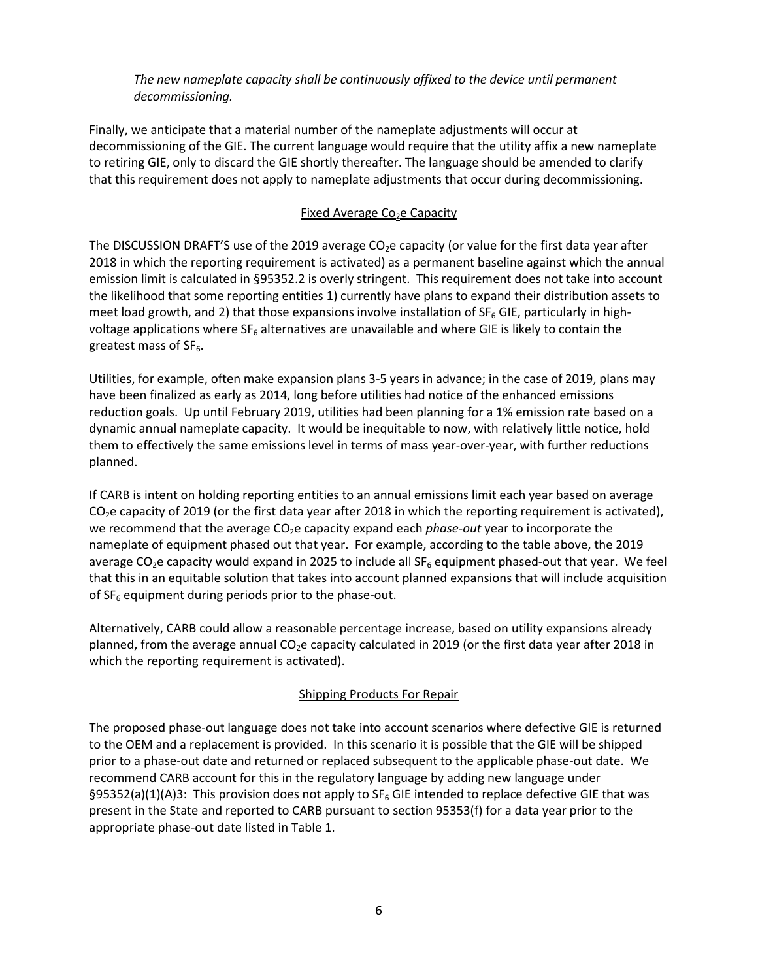*The new nameplate capacity shall be continuously affixed to the device until permanent decommissioning.*

Finally, we anticipate that a material number of the nameplate adjustments will occur at decommissioning of the GIE. The current language would require that the utility affix a new nameplate to retiring GIE, only to discard the GIE shortly thereafter. The language should be amended to clarify that this requirement does not apply to nameplate adjustments that occur during decommissioning.

## Fixed Average Co<sub>2</sub>e Capacity

The DISCUSSION DRAFT'S use of the 2019 average  $CO<sub>2</sub>e$  capacity (or value for the first data year after 2018 in which the reporting requirement is activated) as a permanent baseline against which the annual emission limit is calculated in §95352.2 is overly stringent. This requirement does not take into account the likelihood that some reporting entities 1) currently have plans to expand their distribution assets to meet load growth, and 2) that those expansions involve installation of  $SF<sub>6</sub>$  GIE, particularly in highvoltage applications where  $SF<sub>6</sub>$  alternatives are unavailable and where GIE is likely to contain the greatest mass of  $SF<sub>6</sub>$ .

Utilities, for example, often make expansion plans 3-5 years in advance; in the case of 2019, plans may have been finalized as early as 2014, long before utilities had notice of the enhanced emissions reduction goals. Up until February 2019, utilities had been planning for a 1% emission rate based on a dynamic annual nameplate capacity. It would be inequitable to now, with relatively little notice, hold them to effectively the same emissions level in terms of mass year-over-year, with further reductions planned.

If CARB is intent on holding reporting entities to an annual emissions limit each year based on average  $CO<sub>2</sub>e$  capacity of 2019 (or the first data year after 2018 in which the reporting requirement is activated), we recommend that the average CO<sub>2</sub>e capacity expand each *phase-out* year to incorporate the nameplate of equipment phased out that year. For example, according to the table above, the 2019 average CO<sub>2</sub>e capacity would expand in 2025 to include all SF<sub>6</sub> equipment phased-out that year. We feel that this in an equitable solution that takes into account planned expansions that will include acquisition of  $SF<sub>6</sub>$  equipment during periods prior to the phase-out.

Alternatively, CARB could allow a reasonable percentage increase, based on utility expansions already planned, from the average annual  $CO<sub>2</sub>e$  capacity calculated in 2019 (or the first data year after 2018 in which the reporting requirement is activated).

# Shipping Products For Repair

The proposed phase-out language does not take into account scenarios where defective GIE is returned to the OEM and a replacement is provided. In this scenario it is possible that the GIE will be shipped prior to a phase-out date and returned or replaced subsequent to the applicable phase-out date. We recommend CARB account for this in the regulatory language by adding new language under §95352(a)(1)(A)3: This provision does not apply to SF<sub>6</sub> GIE intended to replace defective GIE that was present in the State and reported to CARB pursuant to section 95353(f) for a data year prior to the appropriate phase-out date listed in Table 1.